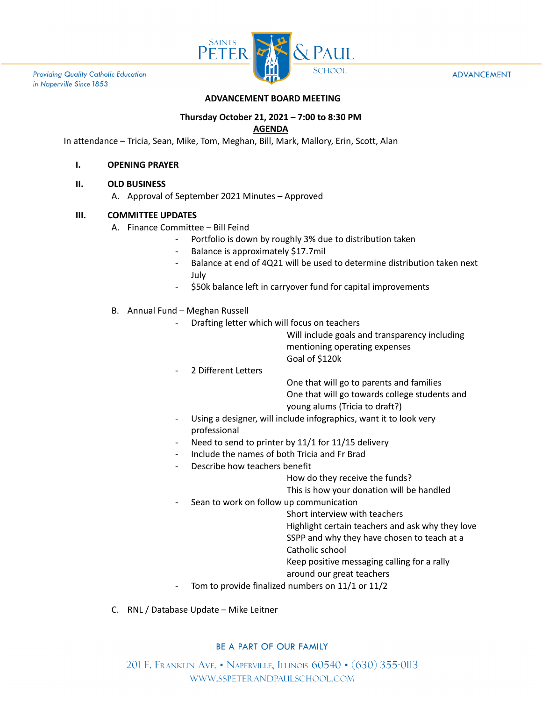

**Providing Quality Catholic Education** in Naperville Since 1853

#### **ADVANCEMENT**

## **ADVANCEMENT BOARD MEETING**

# **Thursday October 21, 2021 – 7:00 to 8:30 PM**

## **AGENDA**

In attendance – Tricia, Sean, Mike, Tom, Meghan, Bill, Mark, Mallory, Erin, Scott, Alan

#### **I. OPENING PRAYER**

#### **II. OLD BUSINESS**

A. Approval of September 2021 Minutes – Approved

### **III. COMMITTEE UPDATES**

- A. Finance Committee Bill Feind
	- Portfolio is down by roughly 3% due to distribution taken
	- Balance is approximately \$17.7mil
	- Balance at end of 4Q21 will be used to determine distribution taken next July
	- \$50k balance left in carryover fund for capital improvements
- B. Annual Fund Meghan Russell
	- Drafting letter which will focus on teachers

Will include goals and transparency including mentioning operating expenses Goal of \$120k

2 Different Letters

One that will go to parents and families One that will go towards college students and young alums (Tricia to draft?)

- Using a designer, will include infographics, want it to look very professional
- Need to send to printer by 11/1 for 11/15 delivery
- Include the names of both Tricia and Fr Brad
- Describe how teachers benefit

How do they receive the funds?

This is how your donation will be handled

Sean to work on follow up communication

Short interview with teachers

Highlight certain teachers and ask why they love

- SSPP and why they have chosen to teach at a
- Catholic school
- Keep positive messaging calling for a rally

### around our great teachers

- Tom to provide finalized numbers on 11/1 or 11/2
- C. RNL / Database Update Mike Leitner

### BE A PART OF OUR FAMILY

201 E. FRANKLIN AVE. • NAPERVILLE, ILLINOIS 60540 • (630) 355-0113 WWW.SSPETERANDPAULSCHOOL.COM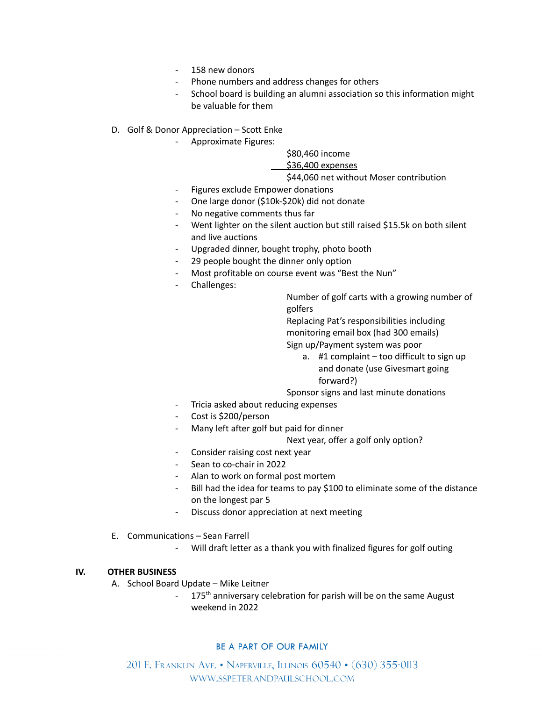- 158 new donors
- Phone numbers and address changes for others
- School board is building an alumni association so this information might be valuable for them
- D. Golf & Donor Appreciation Scott Enke
	- Approximate Figures:

## \$80,460 income

#### \$36,400 expenses

#### \$44,060 net without Moser contribution

- Figures exclude Empower donations
- One large donor (\$10k-\$20k) did not donate
- No negative comments thus far
- Went lighter on the silent auction but still raised \$15.5k on both silent and live auctions
- Upgraded dinner, bought trophy, photo booth
- 29 people bought the dinner only option
- Most profitable on course event was "Best the Nun"
- Challenges:

Number of golf carts with a growing number of golfers

Replacing Pat's responsibilities including monitoring email box (had 300 emails) Sign up/Payment system was poor

a. #1 complaint – too difficult to sign up and donate (use Givesmart going forward?)

Sponsor signs and last minute donations

- Tricia asked about reducing expenses
- Cost is \$200/person
- Many left after golf but paid for dinner

Next year, offer a golf only option?

- Consider raising cost next year
- Sean to co-chair in 2022
- Alan to work on formal post mortem
- Bill had the idea for teams to pay \$100 to eliminate some of the distance on the longest par 5
- Discuss donor appreciation at next meeting
- E. Communications Sean Farrell
	- Will draft letter as a thank you with finalized figures for golf outing

### **IV. OTHER BUSINESS**

- A. School Board Update Mike Leitner<br>175<sup>th</sup> anniversary co
	- 175<sup>th</sup> anniversary celebration for parish will be on the same August weekend in 2022

### BE A PART OF OUR FAMILY

201 E. Franklin Ave. • Naperville, Illinois 60540 • (630) 355-0113 WWW.SSPETERANDPAULSCHOOL.COM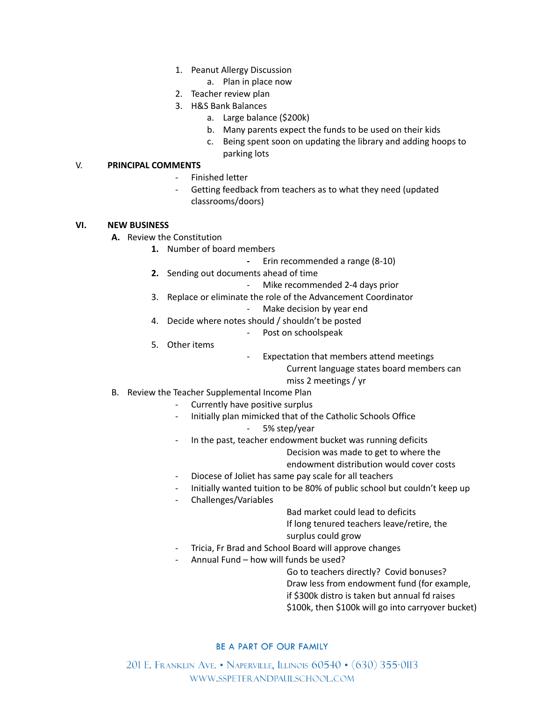- 1. Peanut Allergy Discussion
	- a. Plan in place now
- 2. Teacher review plan
- 3. H&S Bank Balances
	- a. Large balance (\$200k)
	- b. Many parents expect the funds to be used on their kids
	- c. Being spent soon on updating the library and adding hoops to parking lots

#### V. **PRINCIPAL COMMENTS**

- Finished letter
- Getting feedback from teachers as to what they need (updated classrooms/doors)

#### **VI. NEW BUSINESS**

- **A.** Review the Constitution
	- **1.** Number of board members
		- **-** Erin recommended a range (8-10)
	- **2.** Sending out documents ahead of time
		- Mike recommended 2-4 days prior
	- 3. Replace or eliminate the role of the Advancement Coordinator
		- Make decision by year end
	- 4. Decide where notes should / shouldn't be posted
		- Post on schoolspeak
	- 5. Other items
- Expectation that members attend meetings

Current language states board members can

- miss 2 meetings / yr
- B. Review the Teacher Supplemental Income Plan
	- Currently have positive surplus
	- Initially plan mimicked that of the Catholic Schools Office

## 5% step/year

- In the past, teacher endowment bucket was running deficits
	- Decision was made to get to where the
	- endowment distribution would cover costs
- Diocese of Joliet has same pay scale for all teachers
- Initially wanted tuition to be 80% of public school but couldn't keep up
- Challenges/Variables

Bad market could lead to deficits If long tenured teachers leave/retire, the surplus could grow

- Tricia, Fr Brad and School Board will approve changes
- Annual Fund how will funds be used?

Go to teachers directly? Covid bonuses?

Draw less from endowment fund (for example,

if \$300k distro is taken but annual fd raises

\$100k, then \$100k will go into carryover bucket)

### BE A PART OF OUR FAMILY

201 E. Franklin Ave. • Naperville, Illinois 60540 • (630) 355-0113 WWW.SSPETERANDPAULSCHOOL.COM